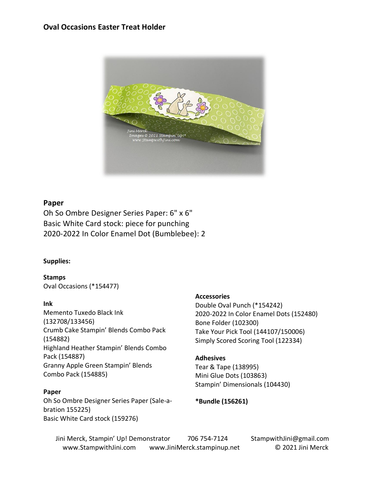# **Oval Occasions Easter Treat Holder**



## **Paper**

Oh So Ombre Designer Series Paper: 6" x 6" Basic White Card stock: piece for punching 2020-2022 In Color Enamel Dot (Bumblebee): 2

## **Supplies:**

**Stamps** Oval Occasions (\*154477)

#### **Ink**

Memento Tuxedo Black Ink (132708/133456) Crumb Cake Stampin' Blends Combo Pack (154882) Highland Heather Stampin' Blends Combo Pack (154887) Granny Apple Green Stampin' Blends Combo Pack (154885)

#### **Paper**

Oh So Ombre Designer Series Paper (Sale-abration 155225) Basic White Card stock (159276)

## **Accessories**

Double Oval Punch (\*154242) 2020-2022 In Color Enamel Dots (152480) Bone Folder (102300) Take Your Pick Tool (144107/150006) Simply Scored Scoring Tool (122334)

## **Adhesives**

Tear & Tape (138995) Mini Glue Dots (103863) Stampin' Dimensionals (104430)

**\*Bundle (156261)**

Jini Merck, Stampin' Up! Demonstrator 706 754-7124 StampwithJini@gmail.com www.StampwithJini.com www.JiniMerck.stampinup.net © 2021 Jini Merck